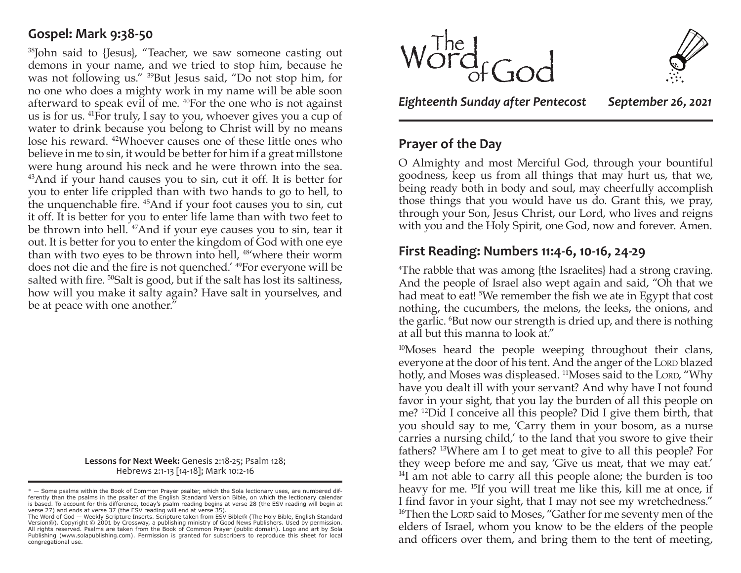### **Gospel: Mark 9:38-50**

38John said to {Jesus}, "Teacher, we saw someone casting out demons in your name, and we tried to stop him, because he was not following us." 39But Jesus said, "Do not stop him, for no one who does a mighty work in my name will be able soon afterward to speak evil of me. 40For the one who is not against us is for us. 41For truly, I say to you, whoever gives you a cup of water to drink because you belong to Christ will by no means lose his reward. 42Whoever causes one of these little ones who believe in me to sin, it would be better for him if a great millstone were hung around his neck and he were thrown into the sea. 43And if your hand causes you to sin, cut it off. It is better for you to enter life crippled than with two hands to go to hell, to the unquenchable fire. 45And if your foot causes you to sin, cut it off. It is better for you to enter life lame than with two feet to be thrown into hell. 47And if your eye causes you to sin, tear it out. It is better for you to enter the kingdom of God with one eye than with two eyes to be thrown into hell, <sup>48'</sup>where their worm does not die and the fire is not quenched.' 49For everyone will be salted with fire. <sup>50</sup>Salt is good, but if the salt has lost its saltiness, how will you make it salty again? Have salt in yourselves, and be at peace with one another."

> **Lessons for Next Week:** Genesis 2:18-25; Psalm 128; Hebrews 2:1-13 [14-18]; Mark 10:2-16





*Eighteenth Sunday after Pentecost September 26, 2021*

# **Prayer of the Day**

O Almighty and most Merciful God, through your bountiful goodness, keep us from all things that may hurt us, that we, being ready both in body and soul, may cheerfully accomplish those things that you would have us do. Grant this, we pray, through your Son, Jesus Christ, our Lord, who lives and reigns with you and the Holy Spirit, one God, now and forever. Amen.

# **First Reading: Numbers 11:4-6, 10-16, 24-29**

4 The rabble that was among {the Israelites} had a strong craving. And the people of Israel also wept again and said, "Oh that we had meat to eat! <sup>5</sup>We remember the fish we ate in Egypt that cost nothing, the cucumbers, the melons, the leeks, the onions, and the garlic. <sup>6</sup>But now our strength is dried up, and there is nothing at all but this manna to look at."

<sup>10</sup>Moses heard the people weeping throughout their clans, everyone at the door of his tent. And the anger of the Lord blazed hotly, and Moses was displeased. <sup>11</sup>Moses said to the Lord, "Why have you dealt ill with your servant? And why have I not found favor in your sight, that you lay the burden of all this people on me? 12Did I conceive all this people? Did I give them birth, that you should say to me, 'Carry them in your bosom, as a nurse carries a nursing child,' to the land that you swore to give their fathers? 13Where am I to get meat to give to all this people? For they weep before me and say, 'Give us meat, that we may eat.' <sup>14</sup>I am not able to carry all this people alone; the burden is too heavy for me. 15If you will treat me like this, kill me at once, if I find favor in your sight, that I may not see my wretchedness." <sup>16</sup>Then the Lorp said to Moses, "Gather for me seventy men of the elders of Israel, whom you know to be the elders of the people and officers over them, and bring them to the tent of meeting,

<sup>\* —</sup> Some psalms within the Book of Common Prayer psalter, which the Sola lectionary uses, are numbered dif-ferently than the psalms in the psalter of the English Standard Version Bible, on which the lectionary calendar is based. To account for this difference, today's psalm reading begins at verse 28 (the ESV reading will begin at

verse 27) and ends at verse 37 (the ESV reading will end at verse 35). The Word of God — Weekly Scripture Inserts. Scripture taken from ESV Bible® (The Holy Bible, English Standard Version®). Copyright © 2001 by Crossway, a publishing ministry of Good News Publishers. Used by permission. All rights reserved. Psalms are taken from the Book of Common Prayer (public domain). Logo and art by Sola Publishing (www.solapublishing.com). Permission is granted for subscribers to reproduce this sheet for local congregational use.